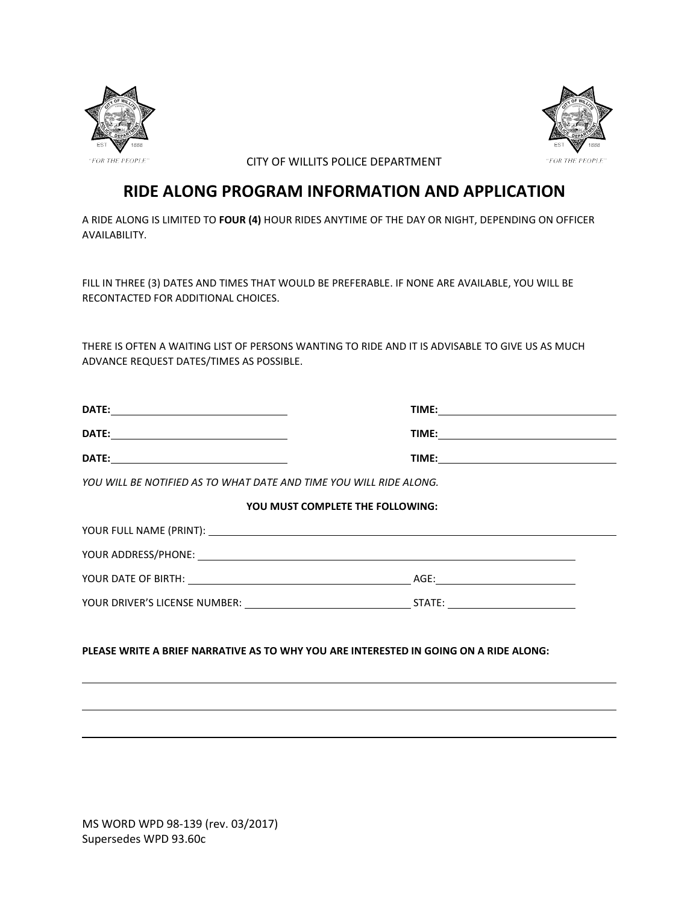



CITY OF WILLITS POLICE DEPARTMENT

## **RIDE ALONG PROGRAM INFORMATION AND APPLICATION**

A RIDE ALONG IS LIMITED TO **FOUR (4)** HOUR RIDES ANYTIME OF THE DAY OR NIGHT, DEPENDING ON OFFICER AVAILABILITY.

FILL IN THREE (3) DATES AND TIMES THAT WOULD BE PREFERABLE. IF NONE ARE AVAILABLE, YOU WILL BE RECONTACTED FOR ADDITIONAL CHOICES.

THERE IS OFTEN A WAITING LIST OF PERSONS WANTING TO RIDE AND IT IS ADVISABLE TO GIVE US AS MUCH ADVANCE REQUEST DATES/TIMES AS POSSIBLE.

| YOU WILL BE NOTIFIED AS TO WHAT DATE AND TIME YOU WILL RIDE ALONG.                    |                                                                                                                                                                                                                                |
|---------------------------------------------------------------------------------------|--------------------------------------------------------------------------------------------------------------------------------------------------------------------------------------------------------------------------------|
|                                                                                       | YOU MUST COMPLETE THE FOLLOWING:                                                                                                                                                                                               |
|                                                                                       | YOUR FULL NAME (PRINT): NAME (PRINT): NAME (PRINT): NAME (PRINT): NAME (PRINT): NAME (PRINT): NAME (PRINT): NAME (PRINT): NAME (PRINT): NAME (PRINT): NAME (PRINT): NAME (PRINT): NAME (PRINT): NAME (PRINT): NAME (PRINT): NA |
|                                                                                       |                                                                                                                                                                                                                                |
|                                                                                       |                                                                                                                                                                                                                                |
|                                                                                       |                                                                                                                                                                                                                                |
| PLEASE WRITE A BRIEF NARRATIVE AS TO WHY YOU ARE INTERESTED IN GOING ON A RIDE ALONG: |                                                                                                                                                                                                                                |
|                                                                                       |                                                                                                                                                                                                                                |
|                                                                                       |                                                                                                                                                                                                                                |

MS WORD WPD 98-139 (rev. 03/2017) Supersedes WPD 93.60c